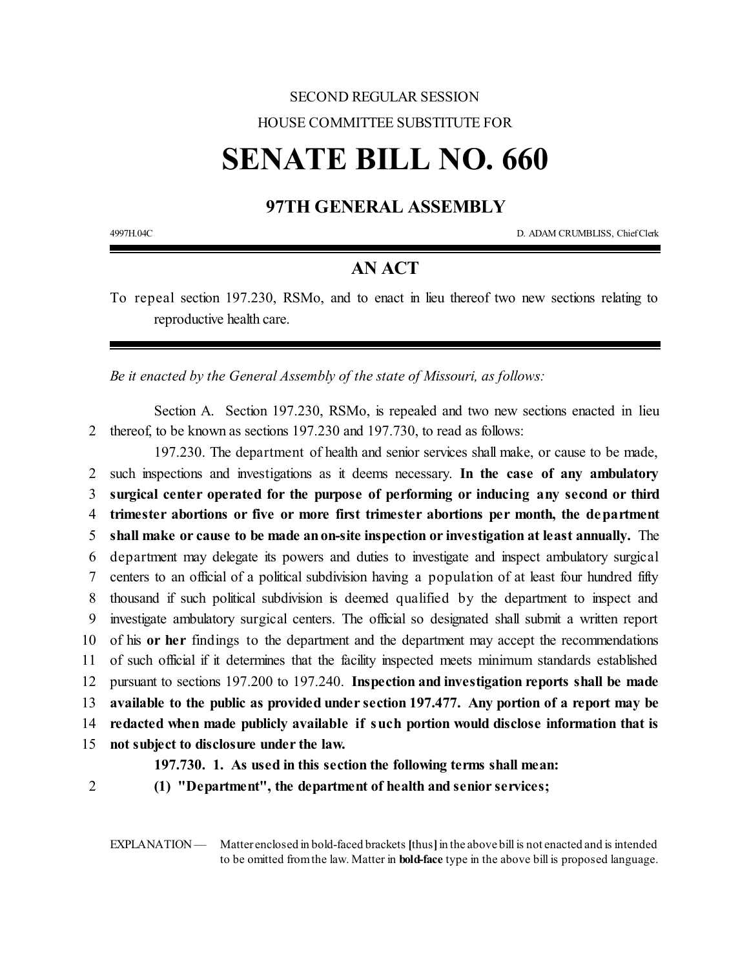## SECOND REGULAR SESSION HOUSE COMMITTEE SUBSTITUTE FOR

## **SENATE BILL NO. 660**

## **97TH GENERAL ASSEMBLY**

4997H.04C D. ADAM CRUMBLISS, ChiefClerk

## **AN ACT**

To repeal section 197.230, RSMo, and to enact in lieu thereof two new sections relating to reproductive health care.

*Be it enacted by the General Assembly of the state of Missouri, as follows:*

Section A. Section 197.230, RSMo, is repealed and two new sections enacted in lieu 2 thereof, to be known as sections 197.230 and 197.730, to read as follows:

197.230. The department of health and senior services shall make, or cause to be made, such inspections and investigations as it deems necessary. **In the case of any ambulatory surgical center operated for the purpose of performing or inducing any second or third trimester abortions or five or more first trimester abortions per month, the department shall make or cause to be made anon-site inspection or investigation at least annually.** The department may delegate its powers and duties to investigate and inspect ambulatory surgical centers to an official of a political subdivision having a population of at least four hundred fifty thousand if such political subdivision is deemed qualified by the department to inspect and investigate ambulatory surgical centers. The official so designated shall submit a written report of his **or her** findings to the department and the department may accept the recommendations of such official if it determines that the facility inspected meets minimum standards established pursuant to sections 197.200 to 197.240. **Inspection and investigation reports shall be made available to the public as provided under section 197.477. Any portion of a report may be redacted when made publicly available if such portion would disclose information that is not subject to disclosure under the law.**

**197.730. 1. As used in this section the following terms shall mean:**

2 **(1) "Department", the department of health and senior services;**

EXPLANATION — Matter enclosed in bold-faced brackets [thus] in the above bill is not enacted and is intended to be omitted fromthe law. Matter in **bold-face** type in the above bill is proposed language.